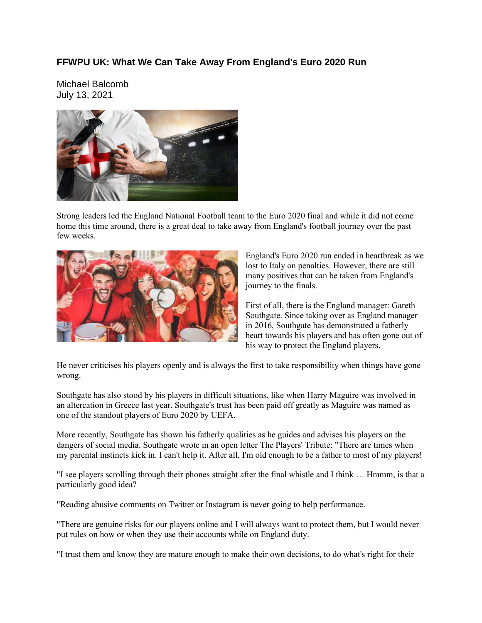#### **FFWPU UK: What We Can Take Away From England's Euro 2020 Run**

Michael Balcomb July 13, 2021



Strong leaders led the England National Football team to the Euro 2020 final and while it did not come home this time around, there is a great deal to take away from England's football journey over the past few weeks.



England's Euro 2020 run ended in heartbreak as we lost to Italy on penalties. However, there are still many positives that can be taken from England's journey to the finals.

First of all, there is the England manager: Gareth Southgate. Since taking over as England manager in 2016, Southgate has demonstrated a fatherly heart towards his players and has often gone out of his way to protect the England players.

He never criticises his players openly and is always the first to take responsibility when things have gone wrong.

Southgate has also stood by his players in difficult situations, like when Harry Maguire was involved in an altercation in Greece last year. Southgate's trust has been paid off greatly as Maguire was named as one of the standout players of Euro 2020 by UEFA.

More recently, Southgate has shown his fatherly qualities as he guides and advises his players on the dangers of social media. Southgate wrote in an open letter The Players' Tribute: "There are times when my parental instincts kick in. I can't help it. After all, I'm old enough to be a father to most of my players!

"I see players scrolling through their phones straight after the final whistle and I think … Hmmm, is that a particularly good idea?

"Reading abusive comments on Twitter or Instagram is never going to help performance.

"There are genuine risks for our players online and I will always want to protect them, but I would never put rules on how or when they use their accounts while on England duty.

"I trust them and know they are mature enough to make their own decisions, to do what's right for their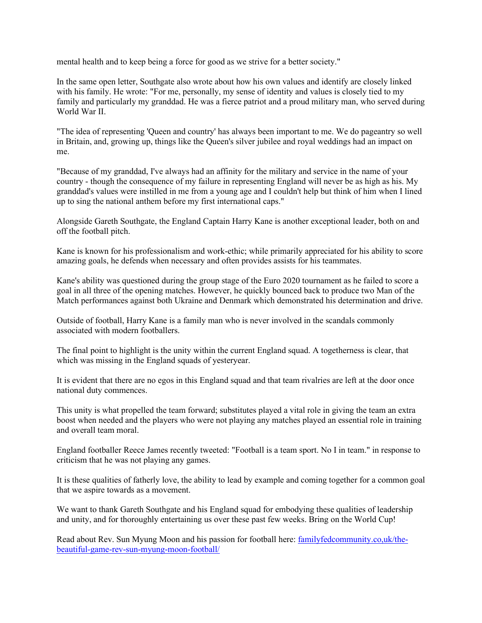mental health and to keep being a force for good as we strive for a better society."

In the same open letter, Southgate also wrote about how his own values and identify are closely linked with his family. He wrote: "For me, personally, my sense of identity and values is closely tied to my family and particularly my granddad. He was a fierce patriot and a proud military man, who served during World War II.

"The idea of representing 'Queen and country' has always been important to me. We do pageantry so well in Britain, and, growing up, things like the Queen's silver jubilee and royal weddings had an impact on me.

"Because of my granddad, I've always had an affinity for the military and service in the name of your country - though the consequence of my failure in representing England will never be as high as his. My granddad's values were instilled in me from a young age and I couldn't help but think of him when I lined up to sing the national anthem before my first international caps."

Alongside Gareth Southgate, the England Captain Harry Kane is another exceptional leader, both on and off the football pitch.

Kane is known for his professionalism and work-ethic; while primarily appreciated for his ability to score amazing goals, he defends when necessary and often provides assists for his teammates.

Kane's ability was questioned during the group stage of the Euro 2020 tournament as he failed to score a goal in all three of the opening matches. However, he quickly bounced back to produce two Man of the Match performances against both Ukraine and Denmark which demonstrated his determination and drive.

Outside of football, Harry Kane is a family man who is never involved in the scandals commonly associated with modern footballers.

The final point to highlight is the unity within the current England squad. A togetherness is clear, that which was missing in the England squads of yesteryear.

It is evident that there are no egos in this England squad and that team rivalries are left at the door once national duty commences.

This unity is what propelled the team forward; substitutes played a vital role in giving the team an extra boost when needed and the players who were not playing any matches played an essential role in training and overall team moral.

England footballer Reece James recently tweeted: "Football is a team sport. No I in team." in response to criticism that he was not playing any games.

It is these qualities of fatherly love, the ability to lead by example and coming together for a common goal that we aspire towards as a movement.

We want to thank Gareth Southgate and his England squad for embodying these qualities of leadership and unity, and for thoroughly entertaining us over these past few weeks. Bring on the World Cup!

Read about Rev. Sun Myung Moon and his passion for football here: familyfedcommunity.co,uk/thebeautiful-game-rev-sun-myung-moon-football/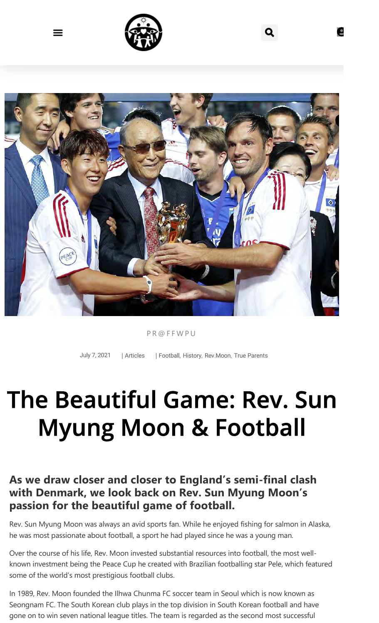



#### PR@FFWPU

July 7, 2021 | Articles | Football, History, Rev.Moon, True Parents

# The Beautiful Game: Rev. Sun Myung Moon & Football

#### **As we draw closer and closer to England's semi‐final clash with Denmark, we look back on Rev. Sun Myung Moon's passion for the beautiful game of football.**

Rev. Sun Myung Moon was always an avid sports fan. While he enjoyed fishing for salmon in Alaska, he was most passionate about football, a sport he had played since he was a young man.

Over the course of his life, Rev. Moon invested substantial resources into football, the most well‐ known investment being the Peace Cup he created with Brazilian footballing star Pele, which featured some of the world's most prestigious football clubs.

In 1989, Rev. Moon founded the Ilhwa Chunma FC soccer team in Seoul which is now known as Seongnam FC. The South Korean club plays in the top division in South Korean football and have gone on to win seven national league titles. The team is regarded as the second most successful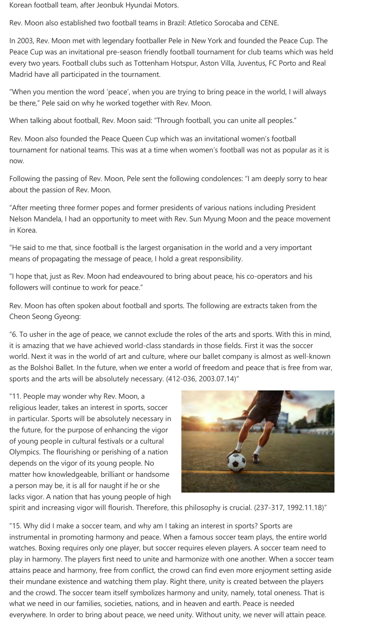Korean football team, after Jeonbuk Hyundai Motors.

Rev. Moon also established two football teams in Brazil: Atletico Sorocaba and CENE.

In 2003, Rev. Moon met with legendary footballer Pele in New York and founded the Peace Cup. The Peace Cup was an invitational pre‐season friendly football tournament for club teams which was held every two years. Football clubs such as Tottenham Hotspur, Aston Villa, Juventus, FC Porto and Real Madrid have all participated in the tournament.

"When you mention the word 'peace', when you are trying to bring peace in the world, I will always be there," Pele said on why he worked together with Rev. Moon.

When talking about football, Rev. Moon said: "Through football, you can unite all peoples."

Rev. Moon also founded the Peace Queen Cup which was an invitational women's football tournament for national teams. This was at a time when women's football was not as popular as it is now.

Following the passing of Rev. Moon, Pele sent the following condolences: "I am deeply sorry to hear about the passion of Rev. Moon.

"After meeting three former popes and former presidents of various nations including President Nelson Mandela, I had an opportunity to meet with Rev. Sun Myung Moon and the peace movement in Korea.

"He said to me that, since football is the largest organisation in the world and a very important means of propagating the message of peace, I hold a great responsibility.

"I hope that, just as Rev. Moon had endeavoured to bring about peace, his co‐operators and his followers will continue to work for peace."

Rev. Moon has often spoken about football and sports. The following are extracts taken from the Cheon Seong Gyeong:

"6. To usher in the age of peace, we cannot exclude the roles of the arts and sports. With this in mind, it is amazing that we have achieved world‐class standards in those fields. First it was the soccer world. Next it was in the world of art and culture, where our ballet company is almost as well-known as the Bolshoi Ballet. In the future, when we enter a world of freedom and peace that is free from war, sports and the arts will be absolutely necessary. (412-036, 2003.07.14)"

"11. People may wonder why Rev. Moon, a religious leader, takes an interest in sports, soccer in particular. Sports will be absolutely necessary in the future, for the purpose of enhancing the vigor of young people in cultural festivals or a cultural Olympics. The flourishing or perishing of a nation depends on the vigor of its young people. No matter how knowledgeable, brilliant or handsome a person may be, it is all for naught if he or she lacks vigor. A nation that has young people of high



spirit and increasing vigor will flourish. Therefore, this philosophy is crucial. (237-317, 1992.11.18)"

"15. Why did I make a soccer team, and why am I taking an interest in sports? Sports are instrumental in promoting harmony and peace. When a famous soccer team plays, the entire world watches. Boxing requires only one player, but soccer requires eleven players. A soccer team need to play in harmony. The players first need to unite and harmonize with one another. When a soccer team attains peace and harmony, free from conflict, the crowd can find even more enjoyment setting aside their mundane existence and watching them play. Right there, unity is created between the players and the crowd. The soccer team itself symbolizes harmony and unity, namely, total oneness. That is what we need in our families, societies, nations, and in heaven and earth. Peace is needed everywhere. In order to bring about peace, we need unity. Without unity, we never will attain peace.